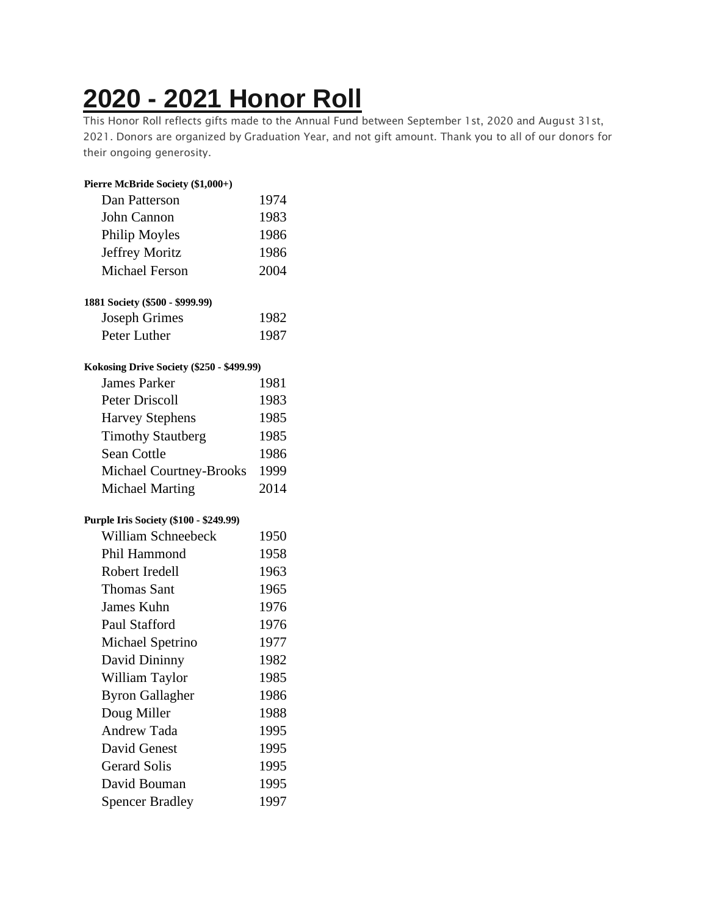## **2020 - 2021 [Honor](https://chidelts.2stayconnected.com/index.php?option=com_content&view=article&id=662:2020-2021-honor-roll&catid=42&Itemid=624) Roll**

This Honor Roll reflects gifts made to the Annual Fund between September 1st, 2020 and August 31st, 2021. Donors are organized by Graduation Year, and not gift amount. Thank you to all of our donors for their ongoing generosity.

| Pierre McBride Society (\$1,000+)         |      |
|-------------------------------------------|------|
| Dan Patterson                             | 1974 |
| John Cannon                               | 1983 |
| Philip Moyles                             | 1986 |
| <b>Jeffrey Moritz</b>                     | 1986 |
| <b>Michael Ferson</b>                     | 2004 |
| 1881 Society (\$500 - \$999.99)           |      |
| <b>Joseph Grimes</b>                      | 1982 |
| Peter Luther                              | 1987 |
| Kokosing Drive Society (\$250 - \$499.99) |      |
| <b>James Parker</b>                       | 1981 |
| <b>Peter Driscoll</b>                     | 1983 |
| <b>Harvey Stephens</b>                    | 1985 |
| <b>Timothy Stautberg</b>                  | 1985 |
| <b>Sean Cottle</b>                        | 1986 |
| Michael Courtney-Brooks                   | 1999 |
| <b>Michael Marting</b>                    | 2014 |
| Purple Iris Society (\$100 - \$249.99)    |      |
| <b>William Schneebeck</b>                 | 1950 |
| Phil Hammond                              | 1958 |
| Robert Iredell                            | 1963 |
| <b>Thomas Sant</b>                        | 1965 |
| James Kuhn                                | 1976 |
| Paul Stafford                             | 1976 |
| Michael Spetrino                          | 1977 |
| David Dininny                             | 1982 |
| William Taylor                            | 1985 |
| <b>Byron Gallagher</b>                    | 1986 |
| Doug Miller                               | 1988 |
| <b>Andrew Tada</b>                        | 1995 |
| David Genest                              | 1995 |
| <b>Gerard Solis</b>                       | 1995 |
| David Bouman                              | 1995 |
| <b>Spencer Bradley</b>                    | 1997 |